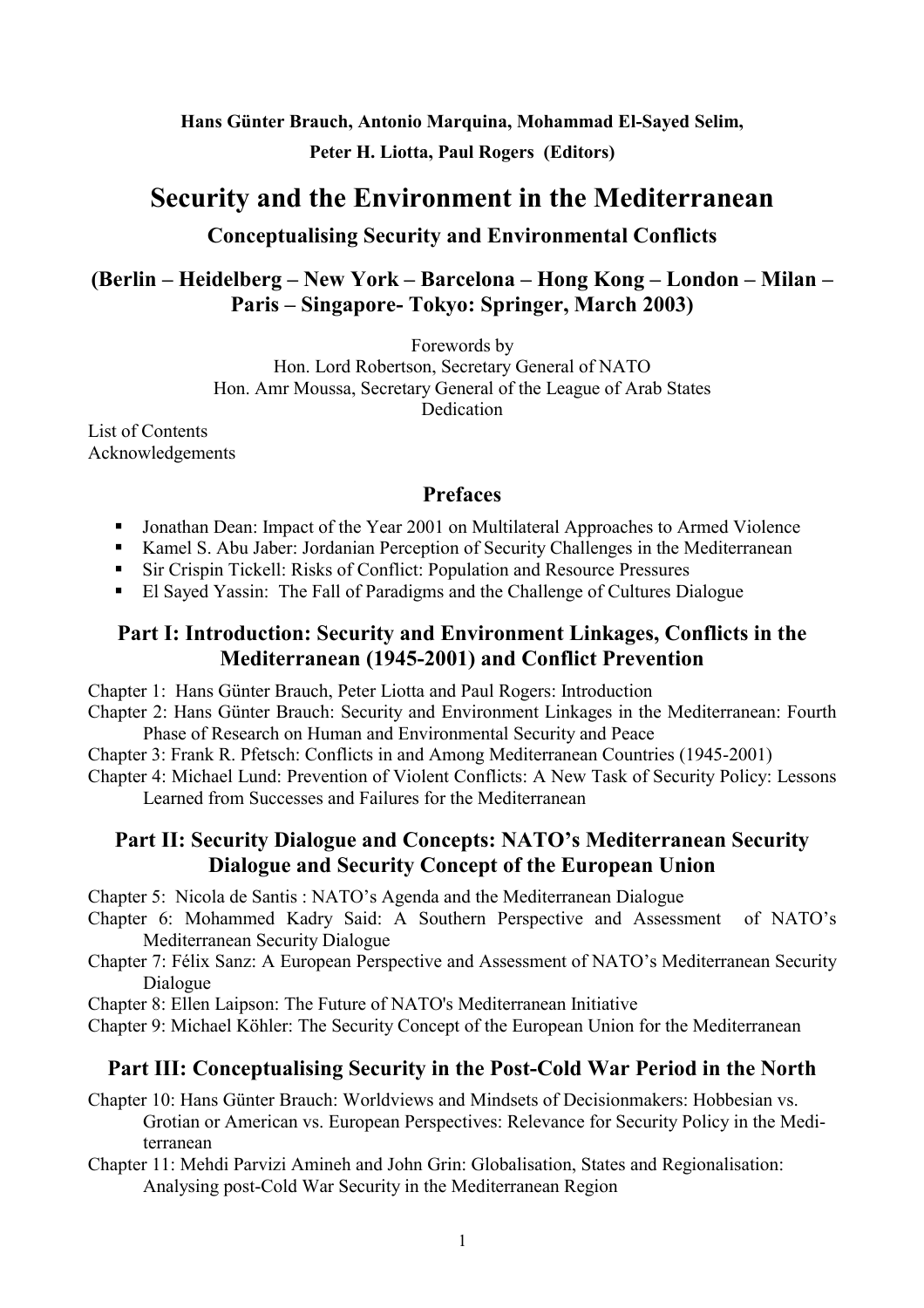# **Hans Günter Brauch, Antonio Marquina, Mohammad El-Sayed Selim, Peter H. Liotta, Paul Rogers (Editors)**

# **Security and the Environment in the Mediterranean Conceptualising Security and Environmental Conflicts**

# **(Berlin – Heidelberg – New York – Barcelona – Hong Kong – London – Milan – Paris – Singapore- Tokyo: Springer, March 2003)**

Forewords by

Hon. Lord Robertson, Secretary General of NATO Hon. Amr Moussa, Secretary General of the League of Arab States Dedication

List of Contents Acknowledgements

# **Prefaces**

- **IDED** Jonathan Dean: Impact of the Year 2001 on Multilateral Approaches to Armed Violence
- -Kamel S. Abu Jaber: Jordanian Perception of Security Challenges in the Mediterranean
- -Sir Crispin Tickell: Risks of Conflict: Population and Resource Pressures
- El Sayed Yassin: The Fall of Paradigms and the Challenge of Cultures Dialogue

# **Part I: Introduction: Security and Environment Linkages, Conflicts in the Mediterranean (1945-2001) and Conflict Prevention**

Chapter 1: Hans Günter Brauch, Peter Liotta and Paul Rogers: Introduction

Chapter 2: Hans Günter Brauch: Security and Environment Linkages in the Mediterranean: Fourth Phase of Research on Human and Environmental Security and Peace

Chapter 3: Frank R. Pfetsch: Conflicts in and Among Mediterranean Countries (1945-2001)

Chapter 4: Michael Lund: Prevention of Violent Conflicts: A New Task of Security Policy: Lessons Learned from Successes and Failures for the Mediterranean

# **Part II: Security Dialogue and Concepts: NATO's Mediterranean Security Dialogue and Security Concept of the European Union**

Chapter 5: Nicola de Santis : NATO's Agenda and the Mediterranean Dialogue

- Chapter 6: Mohammed Kadry Said: A Southern Perspective and Assessment of NATO's Mediterranean Security Dialogue
- Chapter 7: Félix Sanz: A European Perspective and Assessment of NATO's Mediterranean Security Dialogue

Chapter 8: Ellen Laipson: The Future of NATO's Mediterranean Initiative

Chapter 9: Michael Köhler: The Security Concept of the European Union for the Mediterranean

# **Part III: Conceptualising Security in the Post-Cold War Period in the North**

Chapter 10: Hans Günter Brauch: Worldviews and Mindsets of Decisionmakers: Hobbesian vs. Grotian or American vs. European Perspectives: Relevance for Security Policy in the Mediterranean

Chapter 11: Mehdi Parvizi Amineh and John Grin: Globalisation, States and Regionalisation: Analysing post-Cold War Security in the Mediterranean Region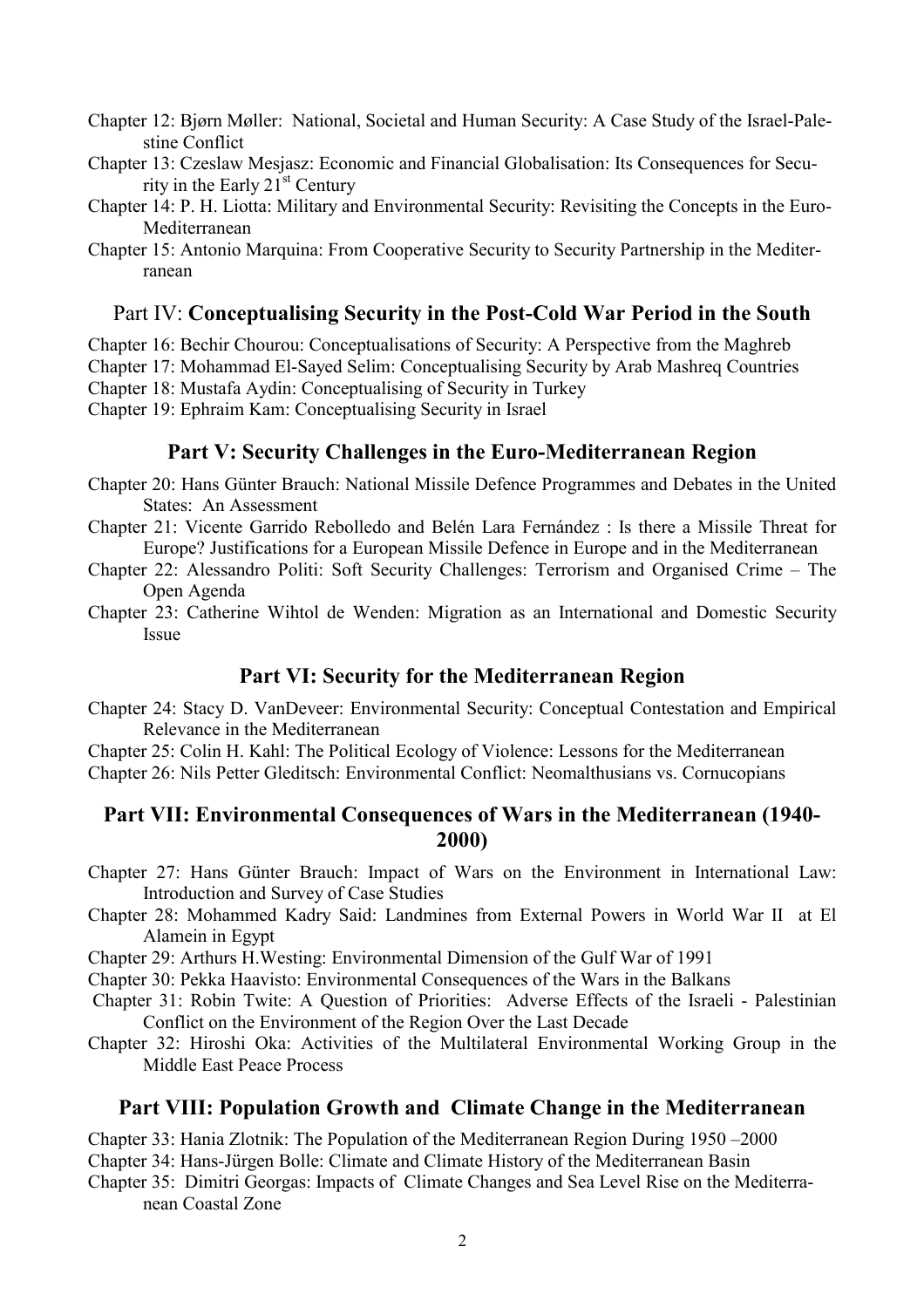- Chapter 12: Bjørn Møller: National, Societal and Human Security: A Case Study of the Israel-Palestine Conflict
- Chapter 13: Czeslaw Mesjasz: Economic and Financial Globalisation: Its Consequences for Security in the Early  $21<sup>st</sup>$  Century
- Chapter 14: P. H. Liotta: Military and Environmental Security: Revisiting the Concepts in the Euro-Mediterranean
- Chapter 15: Antonio Marquina: From Cooperative Security to Security Partnership in the Mediterranean

#### Part IV: **Conceptualising Security in the Post-Cold War Period in the South**

Chapter 16: Bechir Chourou: Conceptualisations of Security: A Perspective from the Maghreb

- Chapter 17: Mohammad El-Sayed Selim: Conceptualising Security by Arab Mashreq Countries
- Chapter 18: Mustafa Aydin: Conceptualising of Security in Turkey
- Chapter 19: Ephraim Kam: Conceptualising Security in Israel

#### **Part V: Security Challenges in the Euro-Mediterranean Region**

- Chapter 20: Hans Günter Brauch: National Missile Defence Programmes and Debates in the United States: An Assessment
- Chapter 21: Vicente Garrido Rebolledo and Belén Lara Fernández : Is there a Missile Threat for Europe? Justifications for a European Missile Defence in Europe and in the Mediterranean
- Chapter 22: Alessandro Politi: Soft Security Challenges: Terrorism and Organised Crime The Open Agenda
- Chapter 23: Catherine Wihtol de Wenden: Migration as an International and Domestic Security Issue

#### **Part VI: Security for the Mediterranean Region**

Chapter 24: Stacy D. VanDeveer: Environmental Security: Conceptual Contestation and Empirical Relevance in the Mediterranean

Chapter 25: Colin H. Kahl: The Political Ecology of Violence: Lessons for the Mediterranean Chapter 26: Nils Petter Gleditsch: Environmental Conflict: Neomalthusians vs. Cornucopians

### **Part VII: Environmental Consequences of Wars in the Mediterranean (1940- 2000)**

- Chapter 27: Hans Günter Brauch: Impact of Wars on the Environment in International Law: Introduction and Survey of Case Studies
- Chapter 28: Mohammed Kadry Said: Landmines from External Powers in World War II at El Alamein in Egypt
- Chapter 29: Arthurs H.Westing: Environmental Dimension of the Gulf War of 1991

Chapter 30: Pekka Haavisto: Environmental Consequences of the Wars in the Balkans

- Chapter 31: Robin Twite: A Question of Priorities: Adverse Effects of the Israeli Palestinian Conflict on the Environment of the Region Over the Last Decade
- Chapter 32: Hiroshi Oka: Activities of the Multilateral Environmental Working Group in the Middle East Peace Process

#### **Part VIII: Population Growth and Climate Change in the Mediterranean**

Chapter 33: Hania Zlotnik: The Population of the Mediterranean Region During 1950 –2000

Chapter 34: Hans-Jürgen Bolle: Climate and Climate History of the Mediterranean Basin

Chapter 35: Dimitri Georgas: Impacts of Climate Changes and Sea Level Rise on the Mediterranean Coastal Zone